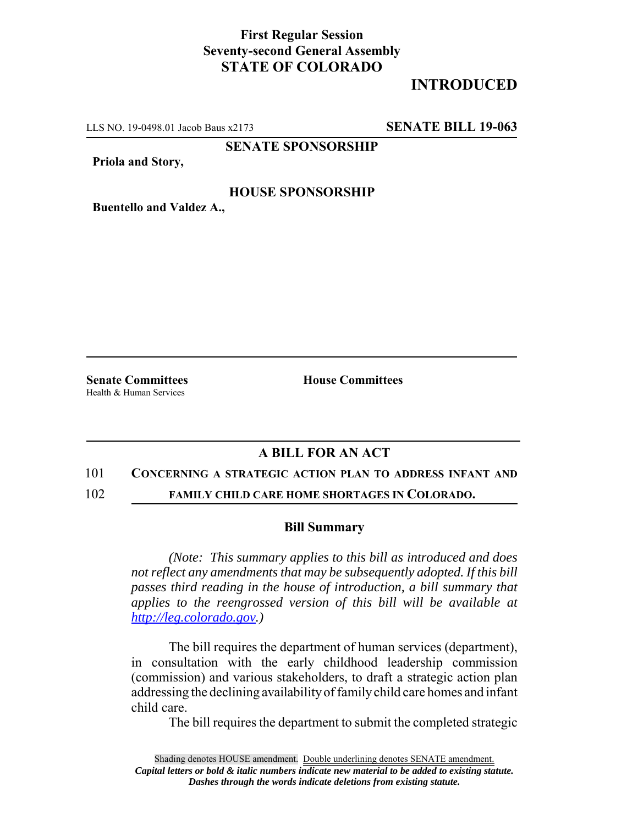## **First Regular Session Seventy-second General Assembly STATE OF COLORADO**

# **INTRODUCED**

LLS NO. 19-0498.01 Jacob Baus x2173 **SENATE BILL 19-063**

**SENATE SPONSORSHIP**

**Priola and Story,**

### **HOUSE SPONSORSHIP**

**Buentello and Valdez A.,**

Health & Human Services

**Senate Committees House Committees** 

### **A BILL FOR AN ACT**

### 101 **CONCERNING A STRATEGIC ACTION PLAN TO ADDRESS INFANT AND**

102 **FAMILY CHILD CARE HOME SHORTAGES IN COLORADO.**

#### **Bill Summary**

*(Note: This summary applies to this bill as introduced and does not reflect any amendments that may be subsequently adopted. If this bill passes third reading in the house of introduction, a bill summary that applies to the reengrossed version of this bill will be available at http://leg.colorado.gov.)*

The bill requires the department of human services (department), in consultation with the early childhood leadership commission (commission) and various stakeholders, to draft a strategic action plan addressing the declining availability of family child care homes and infant child care.

The bill requires the department to submit the completed strategic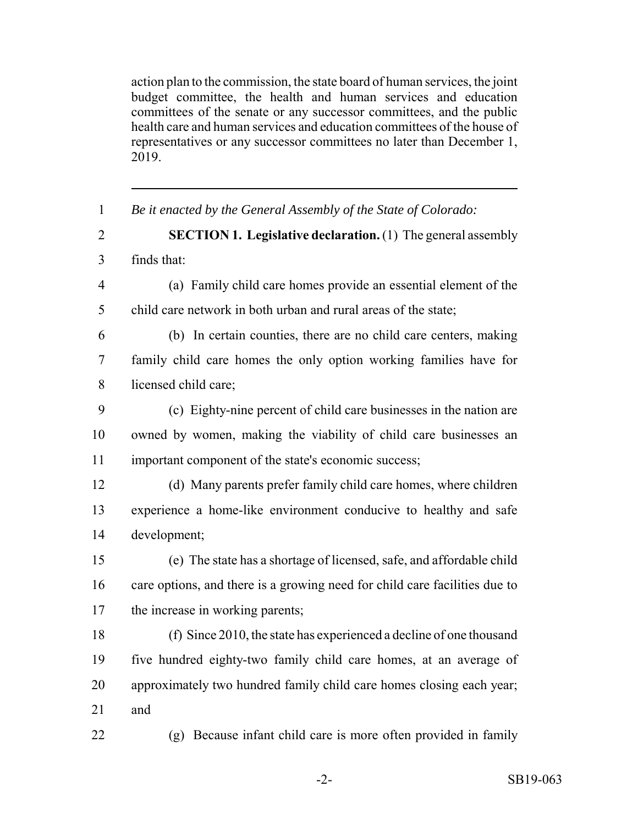action plan to the commission, the state board of human services, the joint budget committee, the health and human services and education committees of the senate or any successor committees, and the public health care and human services and education committees of the house of representatives or any successor committees no later than December 1, 2019.

| $\mathbf{1}$   | Be it enacted by the General Assembly of the State of Colorado:            |
|----------------|----------------------------------------------------------------------------|
| $\overline{2}$ | <b>SECTION 1. Legislative declaration.</b> (1) The general assembly        |
| $\overline{3}$ | finds that:                                                                |
| $\overline{4}$ | (a) Family child care homes provide an essential element of the            |
| 5              | child care network in both urban and rural areas of the state;             |
| 6              | (b) In certain counties, there are no child care centers, making           |
| $\tau$         | family child care homes the only option working families have for          |
| 8              | licensed child care;                                                       |
| 9              | (c) Eighty-nine percent of child care businesses in the nation are         |
| 10             | owned by women, making the viability of child care businesses an           |
| 11             | important component of the state's economic success;                       |
| 12             | (d) Many parents prefer family child care homes, where children            |
| 13             | experience a home-like environment conducive to healthy and safe           |
| 14             | development;                                                               |
| 15             | (e) The state has a shortage of licensed, safe, and affordable child       |
| 16             | care options, and there is a growing need for child care facilities due to |
| 17             | the increase in working parents;                                           |
| 18             | (f) Since 2010, the state has experienced a decline of one thousand        |
| 19             | five hundred eighty-two family child care homes, at an average of          |
| 20             | approximately two hundred family child care homes closing each year;       |
| 21             | and                                                                        |
| 22             | (g) Because infant child care is more often provided in family             |
|                |                                                                            |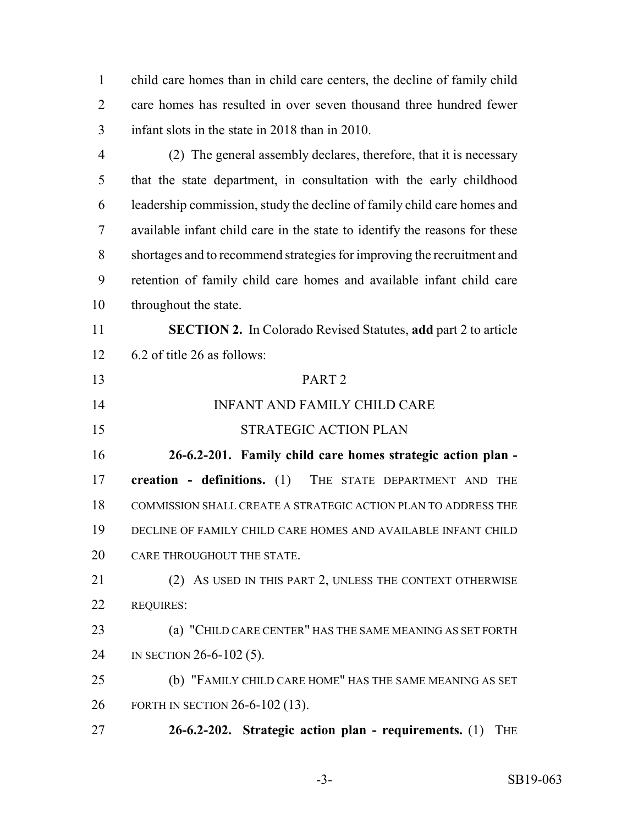child care homes than in child care centers, the decline of family child care homes has resulted in over seven thousand three hundred fewer infant slots in the state in 2018 than in 2010.

 (2) The general assembly declares, therefore, that it is necessary that the state department, in consultation with the early childhood leadership commission, study the decline of family child care homes and available infant child care in the state to identify the reasons for these shortages and to recommend strategies for improving the recruitment and retention of family child care homes and available infant child care throughout the state.

 **SECTION 2.** In Colorado Revised Statutes, **add** part 2 to article 6.2 of title 26 as follows:

PART 2

- INFANT AND FAMILY CHILD CARE
- 15 STRATEGIC ACTION PLAN

 **26-6.2-201. Family child care homes strategic action plan - creation - definitions.** (1) THE STATE DEPARTMENT AND THE COMMISSION SHALL CREATE A STRATEGIC ACTION PLAN TO ADDRESS THE DECLINE OF FAMILY CHILD CARE HOMES AND AVAILABLE INFANT CHILD CARE THROUGHOUT THE STATE.

 (2) AS USED IN THIS PART 2, UNLESS THE CONTEXT OTHERWISE REQUIRES:

 (a) "CHILD CARE CENTER" HAS THE SAME MEANING AS SET FORTH 24 IN SECTION 26-6-102 (5).

 (b) "FAMILY CHILD CARE HOME" HAS THE SAME MEANING AS SET FORTH IN SECTION 26-6-102 (13).

**26-6.2-202. Strategic action plan - requirements.** (1) THE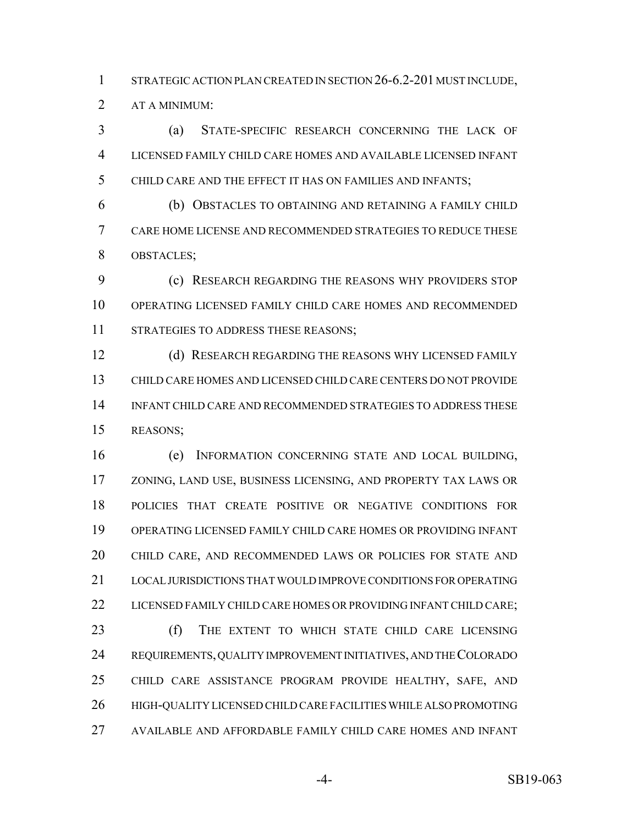1 STRATEGIC ACTION PLAN CREATED IN SECTION 26-6.2-201 MUST INCLUDE,

AT A MINIMUM:

 (a) STATE-SPECIFIC RESEARCH CONCERNING THE LACK OF LICENSED FAMILY CHILD CARE HOMES AND AVAILABLE LICENSED INFANT CHILD CARE AND THE EFFECT IT HAS ON FAMILIES AND INFANTS;

 (b) OBSTACLES TO OBTAINING AND RETAINING A FAMILY CHILD CARE HOME LICENSE AND RECOMMENDED STRATEGIES TO REDUCE THESE OBSTACLES;

 (c) RESEARCH REGARDING THE REASONS WHY PROVIDERS STOP OPERATING LICENSED FAMILY CHILD CARE HOMES AND RECOMMENDED 11 STRATEGIES TO ADDRESS THESE REASONS;

12 (d) RESEARCH REGARDING THE REASONS WHY LICENSED FAMILY CHILD CARE HOMES AND LICENSED CHILD CARE CENTERS DO NOT PROVIDE INFANT CHILD CARE AND RECOMMENDED STRATEGIES TO ADDRESS THESE REASONS;

 (e) INFORMATION CONCERNING STATE AND LOCAL BUILDING, ZONING, LAND USE, BUSINESS LICENSING, AND PROPERTY TAX LAWS OR POLICIES THAT CREATE POSITIVE OR NEGATIVE CONDITIONS FOR OPERATING LICENSED FAMILY CHILD CARE HOMES OR PROVIDING INFANT CHILD CARE, AND RECOMMENDED LAWS OR POLICIES FOR STATE AND LOCAL JURISDICTIONS THAT WOULD IMPROVE CONDITIONS FOR OPERATING 22 LICENSED FAMILY CHILD CARE HOMES OR PROVIDING INFANT CHILD CARE;

 (f) THE EXTENT TO WHICH STATE CHILD CARE LICENSING REQUIREMENTS, QUALITY IMPROVEMENT INITIATIVES, AND THE COLORADO CHILD CARE ASSISTANCE PROGRAM PROVIDE HEALTHY, SAFE, AND HIGH-QUALITY LICENSED CHILD CARE FACILITIES WHILE ALSO PROMOTING AVAILABLE AND AFFORDABLE FAMILY CHILD CARE HOMES AND INFANT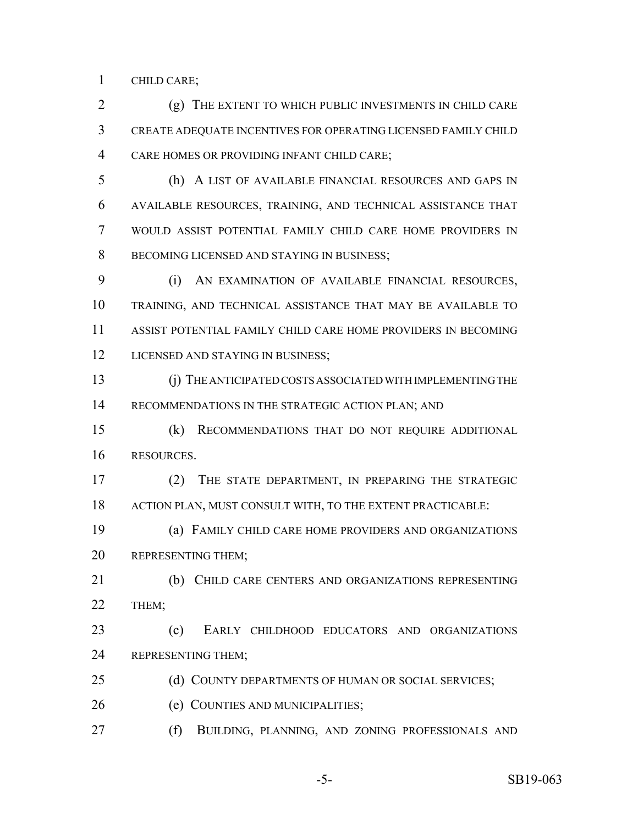CHILD CARE;

 (g) THE EXTENT TO WHICH PUBLIC INVESTMENTS IN CHILD CARE CREATE ADEQUATE INCENTIVES FOR OPERATING LICENSED FAMILY CHILD CARE HOMES OR PROVIDING INFANT CHILD CARE;

 (h) A LIST OF AVAILABLE FINANCIAL RESOURCES AND GAPS IN AVAILABLE RESOURCES, TRAINING, AND TECHNICAL ASSISTANCE THAT WOULD ASSIST POTENTIAL FAMILY CHILD CARE HOME PROVIDERS IN BECOMING LICENSED AND STAYING IN BUSINESS;

 (i) AN EXAMINATION OF AVAILABLE FINANCIAL RESOURCES, TRAINING, AND TECHNICAL ASSISTANCE THAT MAY BE AVAILABLE TO ASSIST POTENTIAL FAMILY CHILD CARE HOME PROVIDERS IN BECOMING 12 LICENSED AND STAYING IN BUSINESS;

 (j) THE ANTICIPATED COSTS ASSOCIATED WITH IMPLEMENTING THE 14 RECOMMENDATIONS IN THE STRATEGIC ACTION PLAN; AND

 (k) RECOMMENDATIONS THAT DO NOT REQUIRE ADDITIONAL RESOURCES.

 (2) THE STATE DEPARTMENT, IN PREPARING THE STRATEGIC ACTION PLAN, MUST CONSULT WITH, TO THE EXTENT PRACTICABLE:

 (a) FAMILY CHILD CARE HOME PROVIDERS AND ORGANIZATIONS REPRESENTING THEM;

21 (b) CHILD CARE CENTERS AND ORGANIZATIONS REPRESENTING THEM;

 (c) EARLY CHILDHOOD EDUCATORS AND ORGANIZATIONS REPRESENTING THEM;

25 (d) COUNTY DEPARTMENTS OF HUMAN OR SOCIAL SERVICES;

(e) COUNTIES AND MUNICIPALITIES;

(f) BUILDING, PLANNING, AND ZONING PROFESSIONALS AND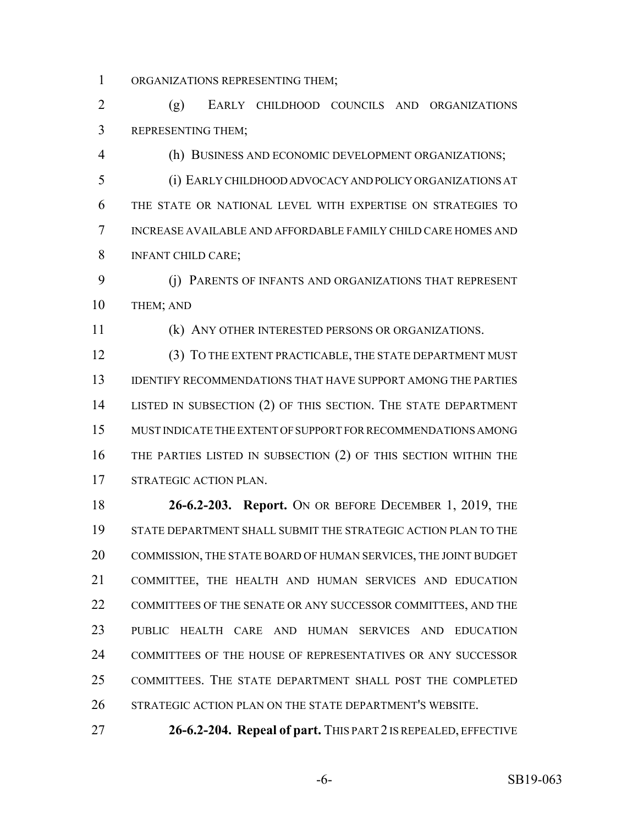ORGANIZATIONS REPRESENTING THEM;

 (g) EARLY CHILDHOOD COUNCILS AND ORGANIZATIONS REPRESENTING THEM;

(h) BUSINESS AND ECONOMIC DEVELOPMENT ORGANIZATIONS;

 (i) EARLY CHILDHOOD ADVOCACY AND POLICY ORGANIZATIONS AT THE STATE OR NATIONAL LEVEL WITH EXPERTISE ON STRATEGIES TO INCREASE AVAILABLE AND AFFORDABLE FAMILY CHILD CARE HOMES AND INFANT CHILD CARE;

 (j) PARENTS OF INFANTS AND ORGANIZATIONS THAT REPRESENT 10 THEM; AND

(k) ANY OTHER INTERESTED PERSONS OR ORGANIZATIONS.

 (3) TO THE EXTENT PRACTICABLE, THE STATE DEPARTMENT MUST IDENTIFY RECOMMENDATIONS THAT HAVE SUPPORT AMONG THE PARTIES LISTED IN SUBSECTION (2) OF THIS SECTION. THE STATE DEPARTMENT MUST INDICATE THE EXTENT OF SUPPORT FOR RECOMMENDATIONS AMONG THE PARTIES LISTED IN SUBSECTION (2) OF THIS SECTION WITHIN THE STRATEGIC ACTION PLAN.

 **26-6.2-203. Report.** ON OR BEFORE DECEMBER 1, 2019, THE STATE DEPARTMENT SHALL SUBMIT THE STRATEGIC ACTION PLAN TO THE COMMISSION, THE STATE BOARD OF HUMAN SERVICES, THE JOINT BUDGET COMMITTEE, THE HEALTH AND HUMAN SERVICES AND EDUCATION COMMITTEES OF THE SENATE OR ANY SUCCESSOR COMMITTEES, AND THE PUBLIC HEALTH CARE AND HUMAN SERVICES AND EDUCATION COMMITTEES OF THE HOUSE OF REPRESENTATIVES OR ANY SUCCESSOR COMMITTEES. THE STATE DEPARTMENT SHALL POST THE COMPLETED STRATEGIC ACTION PLAN ON THE STATE DEPARTMENT'S WEBSITE.

**26-6.2-204. Repeal of part.** THIS PART 2 IS REPEALED, EFFECTIVE